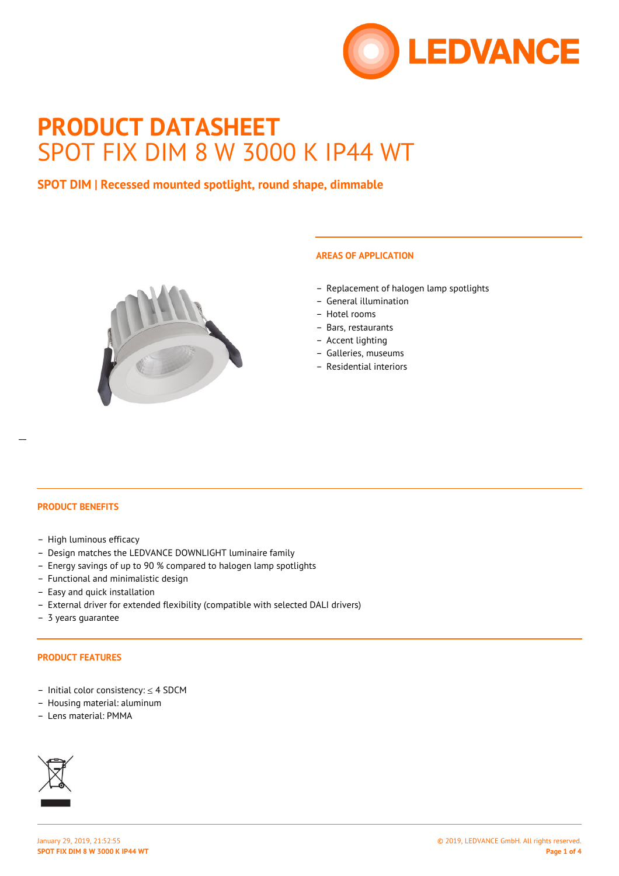

# **PRODUCT DATASHEET** SPOT FIX DIM 8 W 3000 K IP44 WT

## **SPOT DIM | Recessed mounted spotlight, round shape, dimmable**



## **AREAS OF APPLICATION**

- Replacement of halogen lamp spotlights
- General illumination
- Hotel rooms
- Bars, restaurants
- Accent lighting
- Galleries, museums
- Residential interiors

#### **PRODUCT BENEFITS**

- High luminous efficacy
- Design matches the LEDVANCE DOWNLIGHT luminaire family
- Energy savings of up to 90 % compared to halogen lamp spotlights
- Functional and minimalistic design
- Easy and quick installation
- External driver for extended flexibility (compatible with selected DALI drivers)
- 3 years guarantee

#### **PRODUCT FEATURES**

- Initial color consistency: ≤ 4 SDCM
- Housing material: aluminum
- Lens material: PMMA

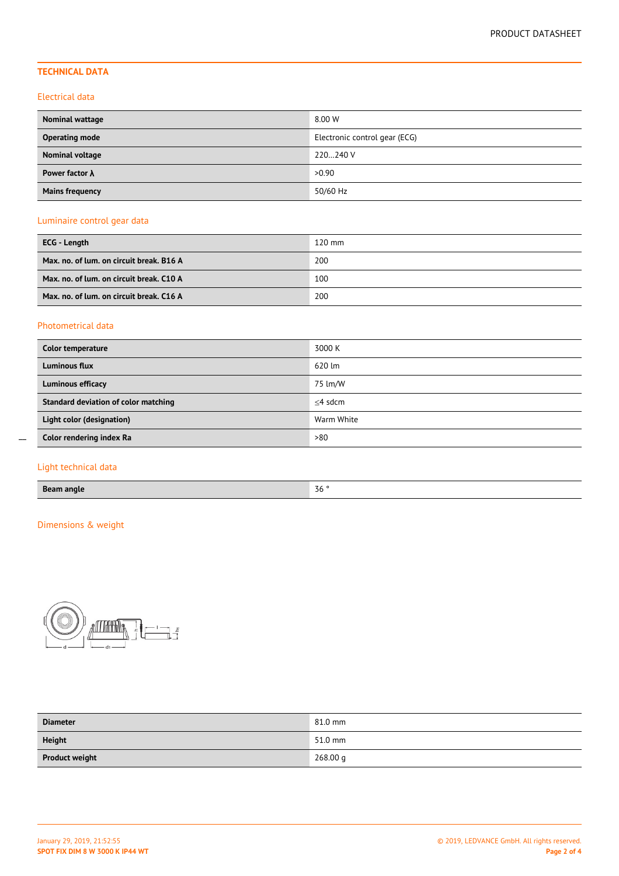## **TECHNICAL DATA**

### Electrical data

| <b>Nominal wattage</b> | 8.00 W                        |
|------------------------|-------------------------------|
| <b>Operating mode</b>  | Electronic control gear (ECG) |
| Nominal voltage        | 220240 V                      |
| Power factor $\lambda$ | >0.90                         |
| <b>Mains frequency</b> | 50/60 Hz                      |

## Luminaire control gear data

| ECG - Length                             | $120$ mm |
|------------------------------------------|----------|
| Max. no. of lum. on circuit break. B16 A | 200      |
| Max. no. of lum. on circuit break. C10 A | 100      |
| Max. no. of lum. on circuit break. C16 A | 200      |

## Photometrical data

| Color temperature                    | 3000 K     |
|--------------------------------------|------------|
| Luminous flux                        | 620 lm     |
| Luminous efficacy                    | 75 lm/W    |
| Standard deviation of color matching | $<$ 4 sdcm |
| Light color (designation)            | Warm White |
| Color rendering index Ra             | >80        |

## Light technical data

 $\overline{a}$ 

## Dimensions & weight



| <b>Diameter</b>       | 81.0 mm  |
|-----------------------|----------|
| <b>Height</b>         | 51.0 mm  |
| <b>Product weight</b> | 268.00 g |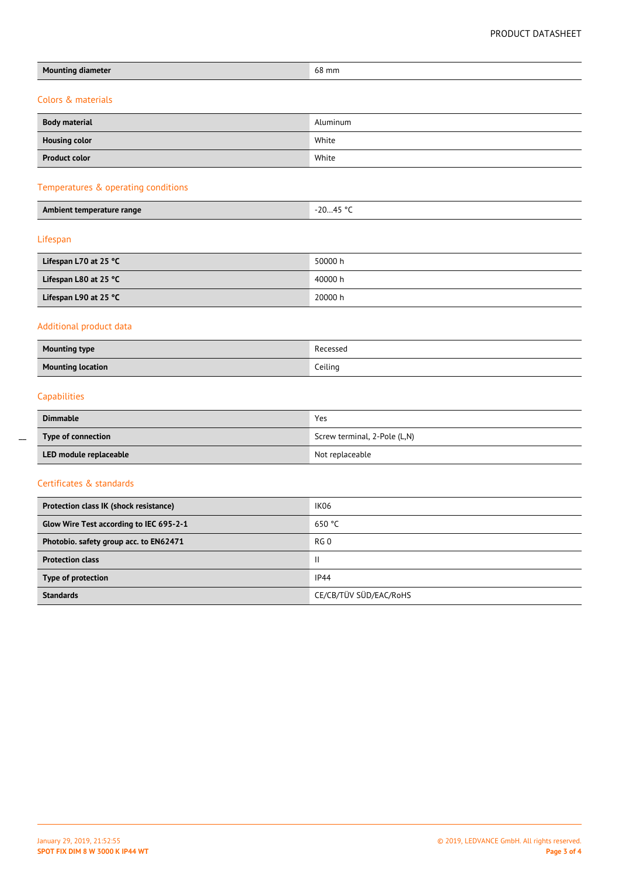| <b>Mounting diameter</b>                | 68 mm                        |  |  |  |  |
|-----------------------------------------|------------------------------|--|--|--|--|
| Colors & materials                      |                              |  |  |  |  |
| <b>Body material</b>                    | Aluminum                     |  |  |  |  |
| <b>Housing color</b>                    | White                        |  |  |  |  |
| <b>Product color</b>                    | White                        |  |  |  |  |
| Temperatures & operating conditions     |                              |  |  |  |  |
| Ambient temperature range               | $-2045$ °C                   |  |  |  |  |
| Lifespan                                |                              |  |  |  |  |
| Lifespan L70 at 25 °C                   | 50000 h                      |  |  |  |  |
| Lifespan L80 at 25 °C                   | 40000 h                      |  |  |  |  |
| Lifespan L90 at 25 °C                   | 20000 h                      |  |  |  |  |
| Additional product data                 |                              |  |  |  |  |
| <b>Mounting type</b>                    | Recessed                     |  |  |  |  |
| <b>Mounting location</b>                | Ceiling                      |  |  |  |  |
| Capabilities                            |                              |  |  |  |  |
| <b>Dimmable</b>                         | Yes                          |  |  |  |  |
| Type of connection                      | Screw terminal, 2-Pole (L,N) |  |  |  |  |
| LED module replaceable                  | Not replaceable              |  |  |  |  |
| Certificates & standards                |                              |  |  |  |  |
| Protection class IK (shock resistance)  | IK06                         |  |  |  |  |
| Glow Wire Test according to IEC 695-2-1 | 650 °C                       |  |  |  |  |
| Photobio. safety group acc. to EN62471  | RG <sub>0</sub>              |  |  |  |  |
| <b>Protection class</b>                 | $\mathbf{II}$                |  |  |  |  |
| Type of protection                      | IP44                         |  |  |  |  |

 $\overline{a}$